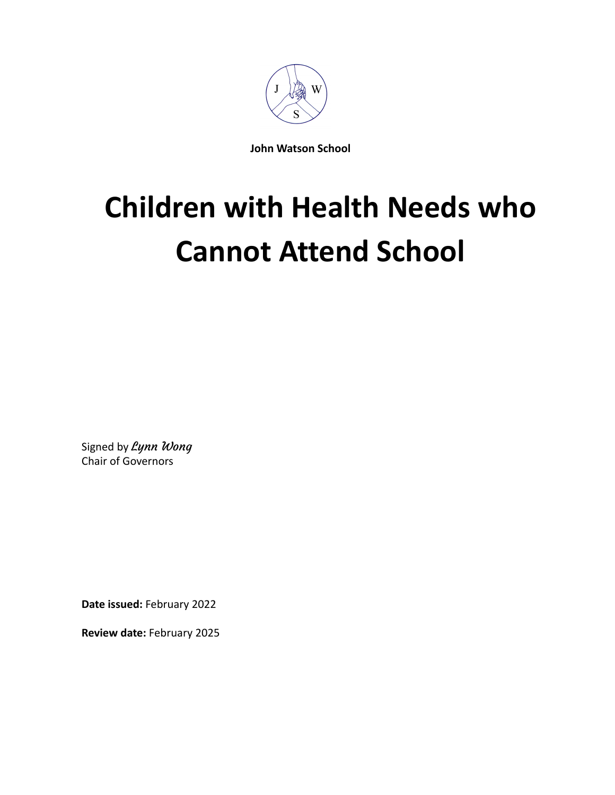

**John Watson School**

# **Children with Health Needs who Cannot Attend School**

Signed by Lynn Wong Chair of Governors

**Date issued:** February 2022

**Review date:** February 2025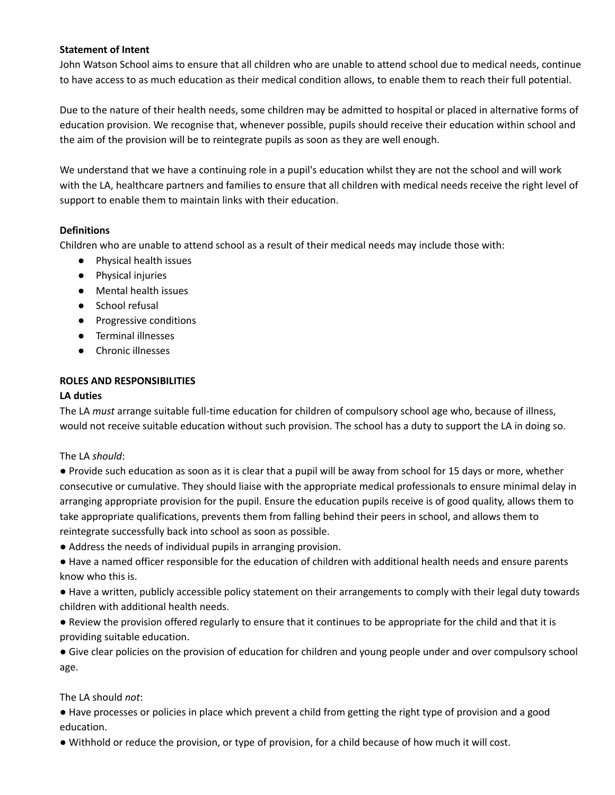#### **Statement of Intent**

John Watson School aims to ensure that all children who are unable to attend school due to medical needs, continue to have access to as much education as their medical condition allows, to enable them to reach their full potential.

Due to the nature of their health needs, some children may be admitted to hospital or placed in alternative forms of education provision. We recognise that, whenever possible, pupils should receive their education within school and the aim of the provision will be to reintegrate pupils as soon as they are well enough.

We understand that we have a continuing role in a pupil's education whilst they are not the school and will work with the LA, healthcare partners and families to ensure that all children with medical needs receive the right level of support to enable them to maintain links with their education.

#### **Definitions**

Children who are unable to attend school as a result of their medical needs may include those with:

- Physical health issues
- Physical injuries
- Mental health issues
- School refusal
- Progressive conditions
- Terminal illnesses
- Chronic illnesses

# **ROLES AND RESPONSIBILITIES**

#### **LA duties**

The LA *must* arrange suitable full-time education for children of compulsory school age who, because of illness, would not receive suitable education without such provision. The school has a duty to support the LA in doing so.

#### The LA *should*:

● Provide such education as soon as it is clear that a pupil will be away from school for 15 days or more, whether consecutive or cumulative. They should liaise with the appropriate medical professionals to ensure minimal delay in arranging appropriate provision for the pupil. Ensure the education pupils receive is of good quality, allows them to take appropriate qualifications, prevents them from falling behind their peers in school, and allows them to reintegrate successfully back into school as soon as possible.

● Address the needs of individual pupils in arranging provision.

● Have a named officer responsible for the education of children with additional health needs and ensure parents know who this is.

● Have a written, publicly accessible policy statement on their arrangements to comply with their legal duty towards children with additional health needs.

● Review the provision offered regularly to ensure that it continues to be appropriate for the child and that it is providing suitable education.

● Give clear policies on the provision of education for children and young people under and over compulsory school age.

# The LA should *not*:

● Have processes or policies in place which prevent a child from getting the right type of provision and a good education.

● Withhold or reduce the provision, or type of provision, for a child because of how much it will cost.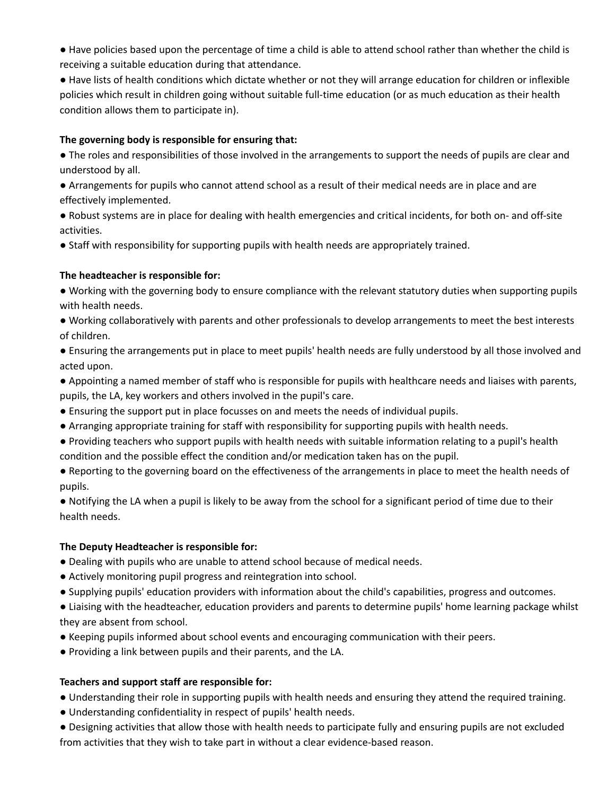● Have policies based upon the percentage of time a child is able to attend school rather than whether the child is receiving a suitable education during that attendance.

● Have lists of health conditions which dictate whether or not they will arrange education for children or inflexible policies which result in children going without suitable full-time education (or as much education as their health condition allows them to participate in).

# **The governing body is responsible for ensuring that:**

● The roles and responsibilities of those involved in the arrangements to support the needs of pupils are clear and understood by all.

- Arrangements for pupils who cannot attend school as a result of their medical needs are in place and are effectively implemented.
- Robust systems are in place for dealing with health emergencies and critical incidents, for both on- and off-site activities.
- Staff with responsibility for supporting pupils with health needs are appropriately trained.

# **The headteacher is responsible for:**

- Working with the governing body to ensure compliance with the relevant statutory duties when supporting pupils with health needs.
- Working collaboratively with parents and other professionals to develop arrangements to meet the best interests of children.
- Ensuring the arrangements put in place to meet pupils' health needs are fully understood by all those involved and acted upon.
- Appointing a named member of staff who is responsible for pupils with healthcare needs and liaises with parents, pupils, the LA, key workers and others involved in the pupil's care.
- Ensuring the support put in place focusses on and meets the needs of individual pupils.
- Arranging appropriate training for staff with responsibility for supporting pupils with health needs.
- Providing teachers who support pupils with health needs with suitable information relating to a pupil's health condition and the possible effect the condition and/or medication taken has on the pupil.
- Reporting to the governing board on the effectiveness of the arrangements in place to meet the health needs of pupils.
- Notifying the LA when a pupil is likely to be away from the school for a significant period of time due to their health needs.

#### **The Deputy Headteacher is responsible for:**

- Dealing with pupils who are unable to attend school because of medical needs.
- Actively monitoring pupil progress and reintegration into school.
- Supplying pupils' education providers with information about the child's capabilities, progress and outcomes.
- Liaising with the headteacher, education providers and parents to determine pupils' home learning package whilst they are absent from school.
- Keeping pupils informed about school events and encouraging communication with their peers.
- Providing a link between pupils and their parents, and the LA.

# **Teachers and support staff are responsible for:**

- Understanding their role in supporting pupils with health needs and ensuring they attend the required training.
- Understanding confidentiality in respect of pupils' health needs.
- Designing activities that allow those with health needs to participate fully and ensuring pupils are not excluded from activities that they wish to take part in without a clear evidence-based reason.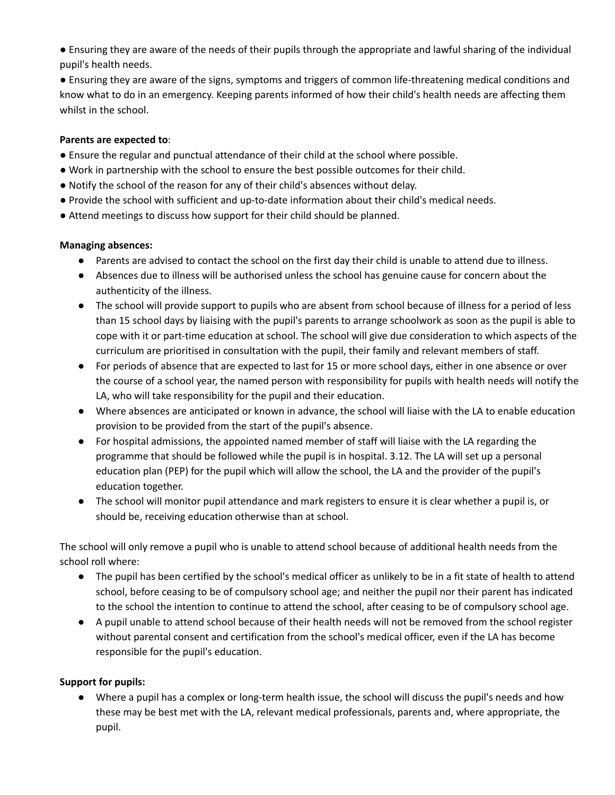● Ensuring they are aware of the needs of their pupils through the appropriate and lawful sharing of the individual pupil's health needs.

● Ensuring they are aware of the signs, symptoms and triggers of common life-threatening medical conditions and know what to do in an emergency. Keeping parents informed of how their child's health needs are affecting them whilst in the school.

#### **Parents are expected to**:

- Ensure the regular and punctual attendance of their child at the school where possible.
- Work in partnership with the school to ensure the best possible outcomes for their child.
- Notify the school of the reason for any of their child's absences without delay.
- Provide the school with sufficient and up-to-date information about their child's medical needs.
- Attend meetings to discuss how support for their child should be planned.

# **Managing absences:**

- Parents are advised to contact the school on the first day their child is unable to attend due to illness.
- Absences due to illness will be authorised unless the school has genuine cause for concern about the authenticity of the illness.
- The school will provide support to pupils who are absent from school because of illness for a period of less than 15 school days by liaising with the pupil's parents to arrange schoolwork as soon as the pupil is able to cope with it or part-time education at school. The school will give due consideration to which aspects of the curriculum are prioritised in consultation with the pupil, their family and relevant members of staff.
- For periods of absence that are expected to last for 15 or more school days, either in one absence or over the course of a school year, the named person with responsibility for pupils with health needs will notify the LA, who will take responsibility for the pupil and their education.
- Where absences are anticipated or known in advance, the school will liaise with the LA to enable education provision to be provided from the start of the pupil's absence.
- For hospital admissions, the appointed named member of staff will liaise with the LA regarding the programme that should be followed while the pupil is in hospital. 3.12. The LA will set up a personal education plan (PEP) for the pupil which will allow the school, the LA and the provider of the pupil's education together.
- The school will monitor pupil attendance and mark registers to ensure it is clear whether a pupil is, or should be, receiving education otherwise than at school.

The school will only remove a pupil who is unable to attend school because of additional health needs from the school roll where:

- The pupil has been certified by the school's medical officer as unlikely to be in a fit state of health to attend school, before ceasing to be of compulsory school age; and neither the pupil nor their parent has indicated to the school the intention to continue to attend the school, after ceasing to be of compulsory school age.
- A pupil unable to attend school because of their health needs will not be removed from the school register without parental consent and certification from the school's medical officer, even if the LA has become responsible for the pupil's education.

# **Support for pupils:**

● Where a pupil has a complex or long-term health issue, the school will discuss the pupil's needs and how these may be best met with the LA, relevant medical professionals, parents and, where appropriate, the pupil.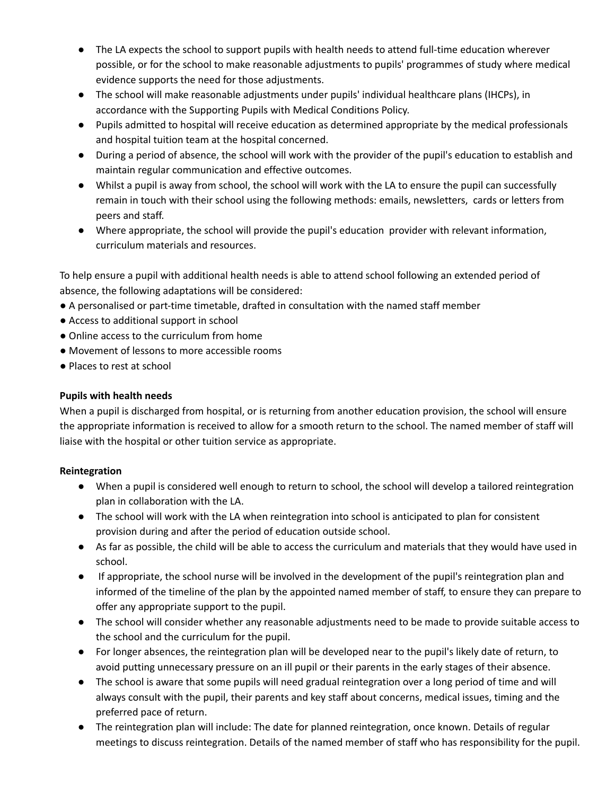- The LA expects the school to support pupils with health needs to attend full-time education wherever possible, or for the school to make reasonable adjustments to pupils' programmes of study where medical evidence supports the need for those adjustments.
- The school will make reasonable adjustments under pupils' individual healthcare plans (IHCPs), in accordance with the Supporting Pupils with Medical Conditions Policy.
- Pupils admitted to hospital will receive education as determined appropriate by the medical professionals and hospital tuition team at the hospital concerned.
- During a period of absence, the school will work with the provider of the pupil's education to establish and maintain regular communication and effective outcomes.
- Whilst a pupil is away from school, the school will work with the LA to ensure the pupil can successfully remain in touch with their school using the following methods: emails, newsletters, cards or letters from peers and staff.
- Where appropriate, the school will provide the pupil's education provider with relevant information, curriculum materials and resources.

To help ensure a pupil with additional health needs is able to attend school following an extended period of absence, the following adaptations will be considered:

- A personalised or part-time timetable, drafted in consultation with the named staff member
- Access to additional support in school
- Online access to the curriculum from home
- Movement of lessons to more accessible rooms
- Places to rest at school

# **Pupils with health needs**

When a pupil is discharged from hospital, or is returning from another education provision, the school will ensure the appropriate information is received to allow for a smooth return to the school. The named member of staff will liaise with the hospital or other tuition service as appropriate.

# **Reintegration**

- When a pupil is considered well enough to return to school, the school will develop a tailored reintegration plan in collaboration with the LA.
- The school will work with the LA when reintegration into school is anticipated to plan for consistent provision during and after the period of education outside school.
- As far as possible, the child will be able to access the curriculum and materials that they would have used in school.
- If appropriate, the school nurse will be involved in the development of the pupil's reintegration plan and informed of the timeline of the plan by the appointed named member of staff, to ensure they can prepare to offer any appropriate support to the pupil.
- The school will consider whether any reasonable adjustments need to be made to provide suitable access to the school and the curriculum for the pupil.
- For longer absences, the reintegration plan will be developed near to the pupil's likely date of return, to avoid putting unnecessary pressure on an ill pupil or their parents in the early stages of their absence.
- The school is aware that some pupils will need gradual reintegration over a long period of time and will always consult with the pupil, their parents and key staff about concerns, medical issues, timing and the preferred pace of return.
- The reintegration plan will include: The date for planned reintegration, once known. Details of regular meetings to discuss reintegration. Details of the named member of staff who has responsibility for the pupil.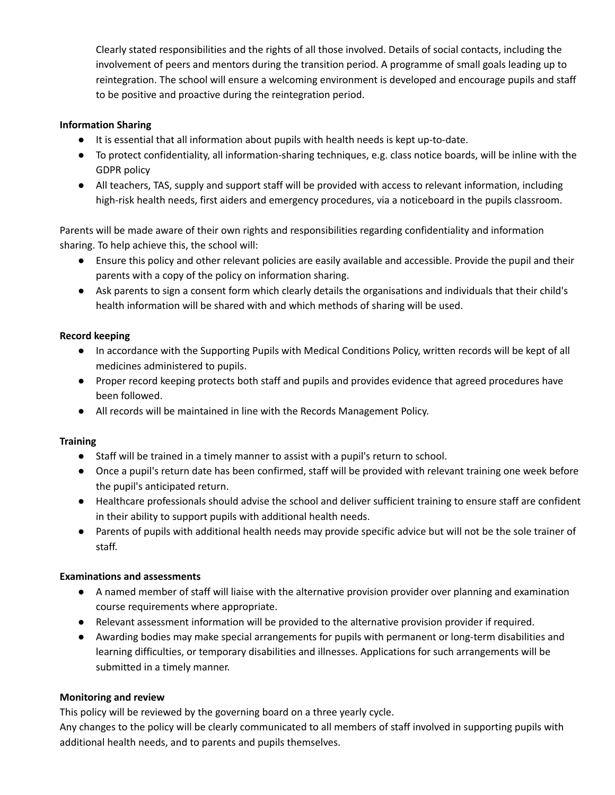Clearly stated responsibilities and the rights of all those involved. Details of social contacts, including the involvement of peers and mentors during the transition period. A programme of small goals leading up to reintegration. The school will ensure a welcoming environment is developed and encourage pupils and staff to be positive and proactive during the reintegration period.

#### **Information Sharing**

- It is essential that all information about pupils with health needs is kept up-to-date.
- To protect confidentiality, all information-sharing techniques, e.g. class notice boards, will be inline with the GDPR policy
- All teachers, TAS, supply and support staff will be provided with access to relevant information, including high-risk health needs, first aiders and emergency procedures, via a noticeboard in the pupils classroom.

Parents will be made aware of their own rights and responsibilities regarding confidentiality and information sharing. To help achieve this, the school will:

- Ensure this policy and other relevant policies are easily available and accessible. Provide the pupil and their parents with a copy of the policy on information sharing.
- Ask parents to sign a consent form which clearly details the organisations and individuals that their child's health information will be shared with and which methods of sharing will be used.

#### **Record keeping**

- In accordance with the Supporting Pupils with Medical Conditions Policy, written records will be kept of all medicines administered to pupils.
- Proper record keeping protects both staff and pupils and provides evidence that agreed procedures have been followed.
- All records will be maintained in line with the Records Management Policy.

# **Training**

- Staff will be trained in a timely manner to assist with a pupil's return to school.
- Once a pupil's return date has been confirmed, staff will be provided with relevant training one week before the pupil's anticipated return.
- Healthcare professionals should advise the school and deliver sufficient training to ensure staff are confident in their ability to support pupils with additional health needs.
- Parents of pupils with additional health needs may provide specific advice but will not be the sole trainer of staff.

#### **Examinations and assessments**

- A named member of staff will liaise with the alternative provision provider over planning and examination course requirements where appropriate.
- Relevant assessment information will be provided to the alternative provision provider if required.
- Awarding bodies may make special arrangements for pupils with permanent or long-term disabilities and learning difficulties, or temporary disabilities and illnesses. Applications for such arrangements will be submitted in a timely manner.

#### **Monitoring and review**

This policy will be reviewed by the governing board on a three yearly cycle.

Any changes to the policy will be clearly communicated to all members of staff involved in supporting pupils with additional health needs, and to parents and pupils themselves.